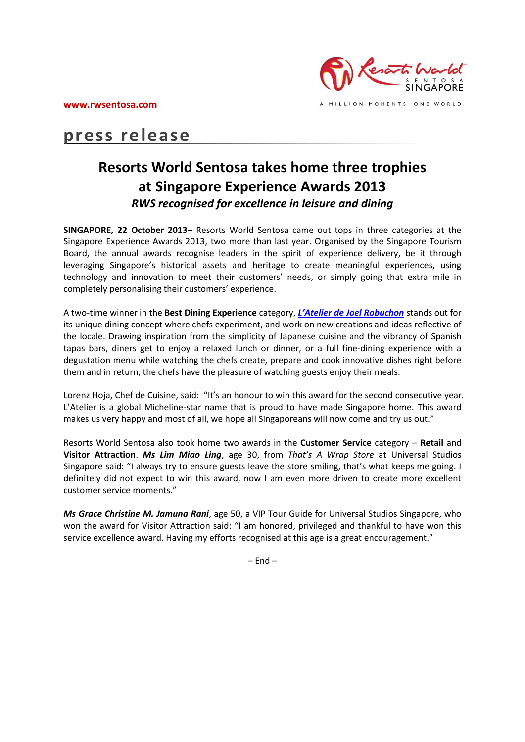

# **press release**

## **Resorts World Sentosa takes home three trophies at Singapore Experience Awards 2013** *RWS recognised for excellence in leisure and dining*

**SINGAPORE, 22 October 2013**– Resorts World Sentosa came out tops in three categories at the Singapore Experience Awards 2013, two more than last year. Organised by the Singapore Tourism Board, the annual awards recognise leaders in the spirit of experience delivery, be it through leveraging Singapore's historical assets and heritage to create meaningful experiences, using technology and innovation to meet their customers' needs, or simply going that extra mile in completely personalising their customers' experience.

A two-time winner in the **Best Dining Experience** category, *[L'Atelier de Joel Robuchon](http://www.rwsentosa.com/language/en-US/Homepage/Restaurants/LAtelierdeJo%C3%ABlRobuchon)* stands out for its unique dining concept where chefs experiment, and work on new creations and ideas reflective of the locale. Drawing inspiration from the simplicity of Japanese cuisine and the vibrancy of Spanish tapas bars, diners get to enjoy a relaxed lunch or dinner, or a full fine-dining experience with a degustation menu while watching the chefs create, prepare and cook innovative dishes right before them and in return, the chefs have the pleasure of watching guests enjoy their meals.

Lorenz Hoja, Chef de Cuisine, said: "It's an honour to win this award for the second consecutive year. L'Atelier is a global Micheline-star name that is proud to have made Singapore home. This award makes us very happy and most of all, we hope all Singaporeans will now come and try us out."

Resorts World Sentosa also took home two awards in the **Customer Service** category – **Retail** and **Visitor Attraction**. *Ms Lim Miao Ling*, age 30, from *That's A Wrap Store* at Universal Studios Singapore said: "I always try to ensure guests leave the store smiling, that's what keeps me going. I definitely did not expect to win this award, now I am even more driven to create more excellent customer service moments."

*Ms Grace Christine M. Jamuna Rani*, age 50, a VIP Tour Guide for Universal Studios Singapore, who won the award for Visitor Attraction said: "I am honored, privileged and thankful to have won this service excellence award. Having my efforts recognised at this age is a great encouragement."

 $-$  End  $-$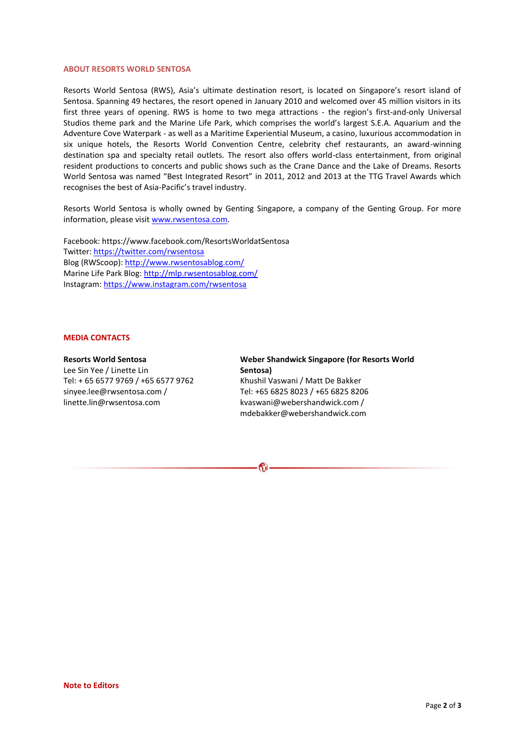#### **ABOUT RESORTS WORLD SENTOSA**

Resorts World Sentosa (RWS), Asia's ultimate destination resort, is located on Singapore's resort island of Sentosa. Spanning 49 hectares, the resort opened in January 2010 and welcomed over 45 million visitors in its first three years of opening. RWS is home to two mega attractions - the region's first-and-only Universal Studios theme park and the Marine Life Park, which comprises the world's largest S.E.A. Aquarium and the Adventure Cove Waterpark - as well as a Maritime Experiential Museum, a casino, luxurious accommodation in six unique hotels, the Resorts World Convention Centre, celebrity chef restaurants, an award-winning destination spa and specialty retail outlets. The resort also offers world-class entertainment, from original resident productions to concerts and public shows such as the Crane Dance and the Lake of Dreams. Resorts World Sentosa was named "Best Integrated Resort" in 2011, 2012 and 2013 at the TTG Travel Awards which recognises the best of Asia-Pacific's travel industry.

Resorts World Sentosa is wholly owned by Genting Singapore, a company of the Genting Group. For more information, please visit [www.rwsentosa.com.](http://www.rwsentosa.com/)

Facebook: https://www.facebook.com/ResortsWorldatSentosa Twitter[: https://twitter.com/rwsentosa](https://twitter.com/rwsentosa) Blog (RWScoop):<http://www.rwsentosablog.com/> Marine Life Park Blog:<http://mlp.rwsentosablog.com/> Instagram[: https://www.instagram.com/rwsentosa](https://www.instagram.com/rwsentosa)

#### **MEDIA CONTACTS**

#### **Resorts World Sentosa**

Lee Sin Yee / Linette Lin Tel: + 65 6577 9769 / +65 6577 9762 sinyee.lee@rwsentosa.com / linette.lin@rwsentosa.com

### **Weber Shandwick Singapore (for Resorts World Sentosa)**  Khushil Vaswani / Matt De Bakker

Tel: +65 6825 8023 / +65 6825 8206 kvaswani@webershandwick.com / mdebakker@webershandwick.com

**G**